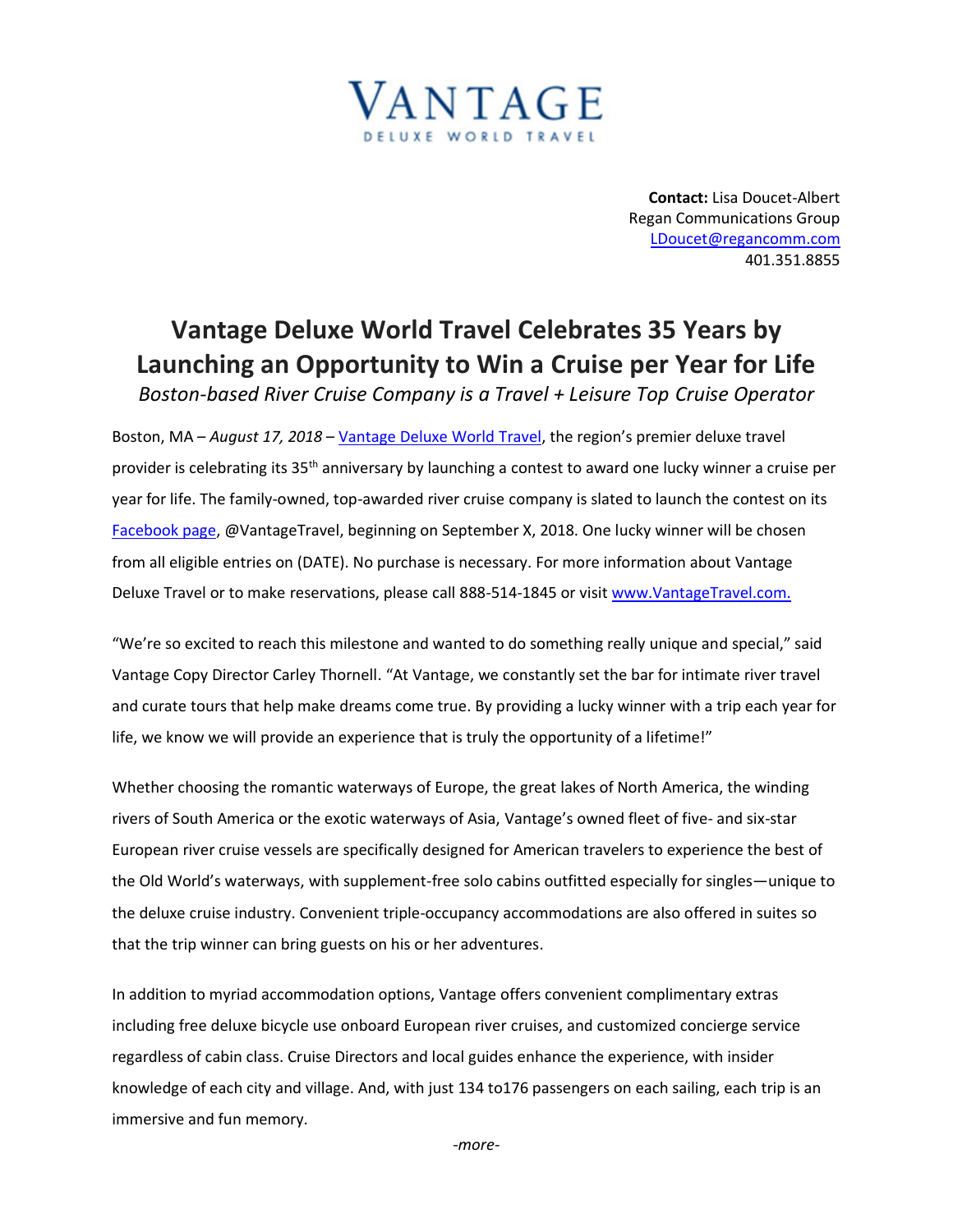

**Contact:** Lisa Doucet-Albert Regan Communications Group [LDoucet@regancomm.com](mailto:LDoucet@regancomm.com) 401.351.8855

## **Vantage Deluxe World Travel Celebrates 35 Years by Launching an Opportunity to Win a Cruise per Year for Life**

*Boston-based River Cruise Company is a Travel + Leisure Top Cruise Operator*

Boston, MA – *August 17, 2018* – [Vantage Deluxe World Travel,](http://www.vantagetravel.com/) the region's premier deluxe travel provider is celebrating its 35<sup>th</sup> anniversary by launching a contest to award one lucky winner a cruise per year for life. The family-owned, top-awarded river cruise company is slated to launch the contest on its [Facebook page,](https://www.facebook.com/vantagetravel/?ref=br_rs) @VantageTravel, beginning on September X, 2018. One lucky winner will be chosen from all eligible entries on (DATE). No purchase is necessary. For more information about Vantage Deluxe Travel or to make reservations, please call 888-514-1845 or visit [www.VantageTravel.com.](http://www.vantagetravel.com./)

"We're so excited to reach this milestone and wanted to do something really unique and special," said Vantage Copy Director Carley Thornell. "At Vantage, we constantly set the bar for intimate river travel and curate tours that help make dreams come true. By providing a lucky winner with a trip each year for life, we know we will provide an experience that is truly the opportunity of a lifetime!"

Whether choosing the romantic waterways of Europe, the great lakes of North America, the winding rivers of South America or the exotic waterways of Asia, Vantage's owned fleet of five- and six-star European river cruise vessels are specifically designed for American travelers to experience the best of the Old World's waterways, with supplement-free solo cabins outfitted especially for singles—unique to the deluxe cruise industry. Convenient triple-occupancy accommodations are also offered in suites so that the trip winner can bring guests on his or her adventures.

In addition to myriad accommodation options, Vantage offers convenient complimentary extras including free deluxe bicycle use onboard European river cruises, and customized concierge service regardless of cabin class. Cruise Directors and local guides enhance the experience, with insider knowledge of each city and village. And, with just 134 to176 passengers on each sailing, each trip is an immersive and fun memory.